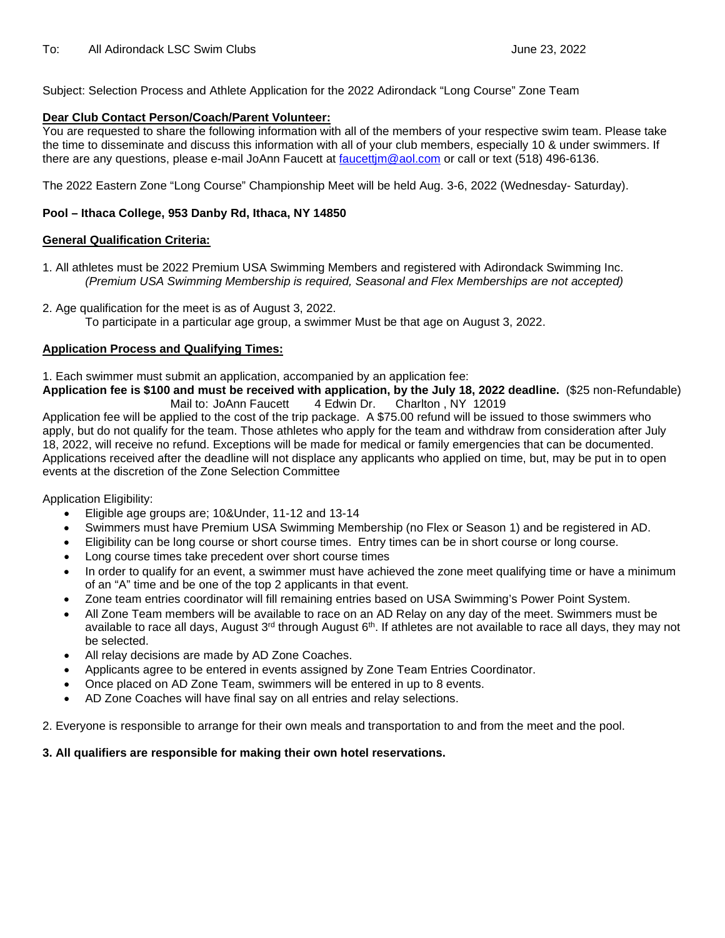Subject: Selection Process and Athlete Application for the 2022 Adirondack "Long Course" Zone Team

#### **Dear Club Contact Person/Coach/Parent Volunteer:**

You are requested to share the following information with all of the members of your respective swim team. Please take the time to disseminate and discuss this information with all of your club members, especially 10 & under swimmers. If there are any questions, please e-mail JoAnn Faucett at [faucettjm@aol.com](mailto:faucettjm@aol.com) or call or text (518) 496-6136.

The 2022 Eastern Zone "Long Course" Championship Meet will be held Aug. 3-6, 2022 (Wednesday- Saturday).

#### **Pool – Ithaca College, 953 Danby Rd, Ithaca, NY 14850**

#### **General Qualification Criteria:**

- 1. All athletes must be 2022 Premium USA Swimming Members and registered with Adirondack Swimming Inc. *(Premium USA Swimming Membership is required, Seasonal and Flex Memberships are not accepted)*
- 2. Age qualification for the meet is as of August 3, 2022. To participate in a particular age group, a swimmer Must be that age on August 3, 2022.

#### **Application Process and Qualifying Times:**

1. Each swimmer must submit an application, accompanied by an application fee:

**Application fee is \$100 and must be received with application, by the July 18, 2022 deadline.** (\$25 non-Refundable) Mail to: JoAnn Faucett

Application fee will be applied to the cost of the trip package. A \$75.00 refund will be issued to those swimmers who apply, but do not qualify for the team. Those athletes who apply for the team and withdraw from consideration after July 18, 2022, will receive no refund. Exceptions will be made for medical or family emergencies that can be documented. Applications received after the deadline will not displace any applicants who applied on time, but, may be put in to open events at the discretion of the Zone Selection Committee

Application Eligibility:

- Eligible age groups are; 10&Under, 11-12 and 13-14
- Swimmers must have Premium USA Swimming Membership (no Flex or Season 1) and be registered in AD.
- Eligibility can be long course or short course times. Entry times can be in short course or long course.
- Long course times take precedent over short course times
- In order to qualify for an event, a swimmer must have achieved the zone meet qualifying time or have a minimum of an "A" time and be one of the top 2 applicants in that event.
- Zone team entries coordinator will fill remaining entries based on USA Swimming's Power Point System.
- All Zone Team members will be available to race on an AD Relay on any day of the meet. Swimmers must be available to race all days, August 3<sup>rd</sup> through August 6<sup>th</sup>. If athletes are not available to race all days, they may not be selected.
- All relay decisions are made by AD Zone Coaches.
- Applicants agree to be entered in events assigned by Zone Team Entries Coordinator.
- Once placed on AD Zone Team, swimmers will be entered in up to 8 events.
- AD Zone Coaches will have final say on all entries and relay selections.

2. Everyone is responsible to arrange for their own meals and transportation to and from the meet and the pool.

#### **3. All qualifiers are responsible for making their own hotel reservations.**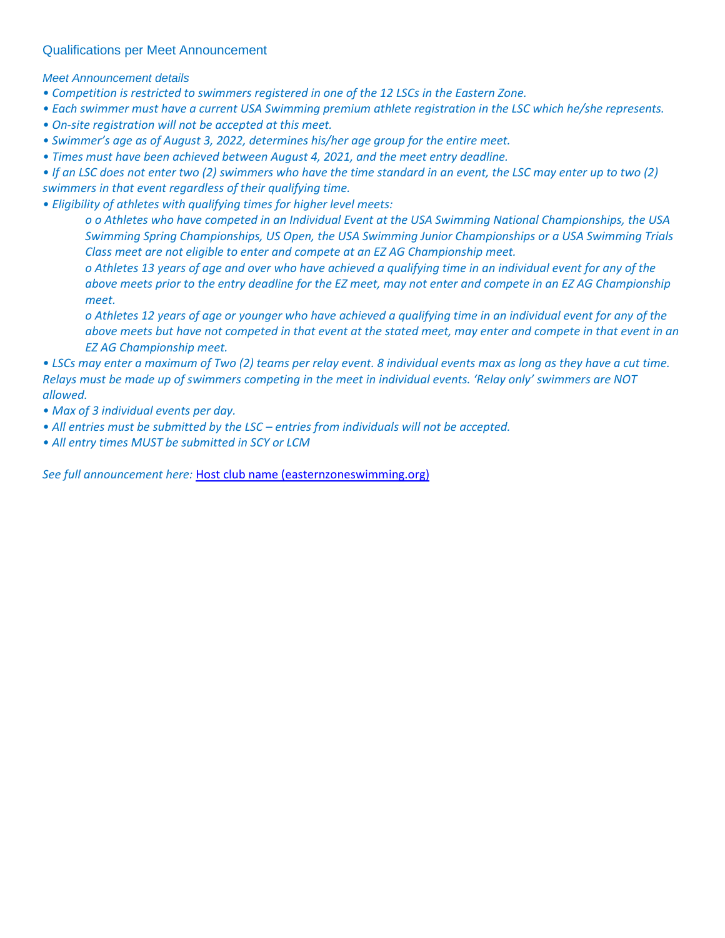#### Qualifications per Meet Announcement

*Meet Announcement details*

*• Competition is restricted to swimmers registered in one of the 12 LSCs in the Eastern Zone.*

- *Each swimmer must have a current USA Swimming premium athlete registration in the LSC which he/she represents.*
- *On-site registration will not be accepted at this meet.*
- *Swimmer's age as of August 3, 2022, determines his/her age group for the entire meet.*
- *Times must have been achieved between August 4, 2021, and the meet entry deadline.*

*• If an LSC does not enter two (2) swimmers who have the time standard in an event, the LSC may enter up to two (2) swimmers in that event regardless of their qualifying time.*

*• Eligibility of athletes with qualifying times for higher level meets:*

*o o Athletes who have competed in an Individual Event at the USA Swimming National Championships, the USA Swimming Spring Championships, US Open, the USA Swimming Junior Championships or a USA Swimming Trials Class meet are not eligible to enter and compete at an EZ AG Championship meet.*

*o Athletes 13 years of age and over who have achieved a qualifying time in an individual event for any of the above meets prior to the entry deadline for the EZ meet, may not enter and compete in an EZ AG Championship meet.*

*o Athletes 12 years of age or younger who have achieved a qualifying time in an individual event for any of the above meets but have not competed in that event at the stated meet, may enter and compete in that event in an EZ AG Championship meet.*

*• LSCs may enter a maximum of Two (2) teams per relay event. 8 individual events max as long as they have a cut time. Relays must be made up of swimmers competing in the meet in individual events. 'Relay only' swimmers are NOT allowed.*

- *Max of 3 individual events per day.*
- *All entries must be submitted by the LSC – entries from individuals will not be accepted.*
- *All entry times MUST be submitted in SCY or LCM*

*See full announcement here:* [Host club name \(easternzoneswimming.org\)](http://www.easternzoneswimming.org/meet_info/2022_LC_Age_Group_Zones_Meet_Announcement.pdf)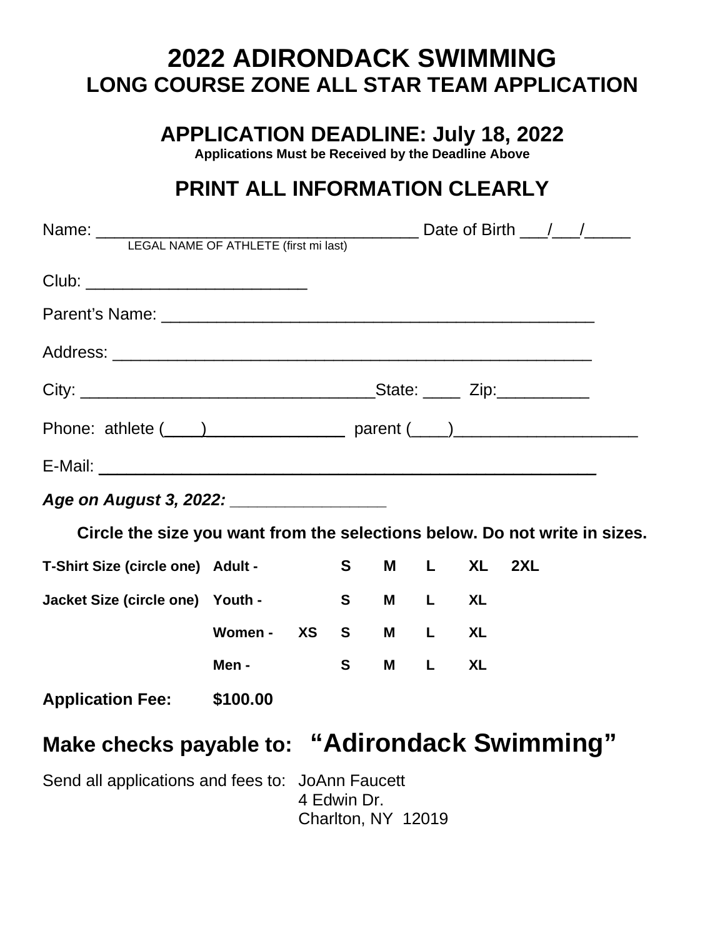# **2022 ADIRONDACK SWIMMING LONG COURSE ZONE ALL STAR TEAM APPLICATION**

**APPLICATION DEADLINE: July 18, 2022**

**Applications Must be Received by the Deadline Above**

## **PRINT ALL INFORMATION CLEARLY**

| Phone: athlete $(\_\_\_)$ parent $(\_\_)$                                  |            |  |                                   |          |                  |            |  |  |
|----------------------------------------------------------------------------|------------|--|-----------------------------------|----------|------------------|------------|--|--|
|                                                                            |            |  |                                   |          |                  |            |  |  |
| Age on August 3, 2022: ___________________                                 |            |  |                                   |          |                  |            |  |  |
| Circle the size you want from the selections below. Do not write in sizes. |            |  |                                   |          |                  |            |  |  |
| T-Shirt Size (circle one) Adult -                                          |            |  | S <sub>s</sub>                    |          |                  | M L XL 2XL |  |  |
| Jacket Size (circle one) Youth -                                           |            |  | S <sub>st</sub>                   | <b>M</b> | L                | <b>XL</b>  |  |  |
|                                                                            | Women - XS |  | S <sub>st</sub>                   |          | M L XL           |            |  |  |
|                                                                            | Men -      |  | S <sub>s</sub>                    | <b>M</b> | L <sub>ine</sub> | <b>XL</b>  |  |  |
| Application Fee: \$100.00                                                  |            |  |                                   |          |                  |            |  |  |
| <b>Make checks payable to: "Adirondack Swimming"</b>                       |            |  |                                   |          |                  |            |  |  |
| Send all applications and fees to: JoAnn Faucett                           |            |  | 4 Edwin Dr.<br>Charlton, NY 12019 |          |                  |            |  |  |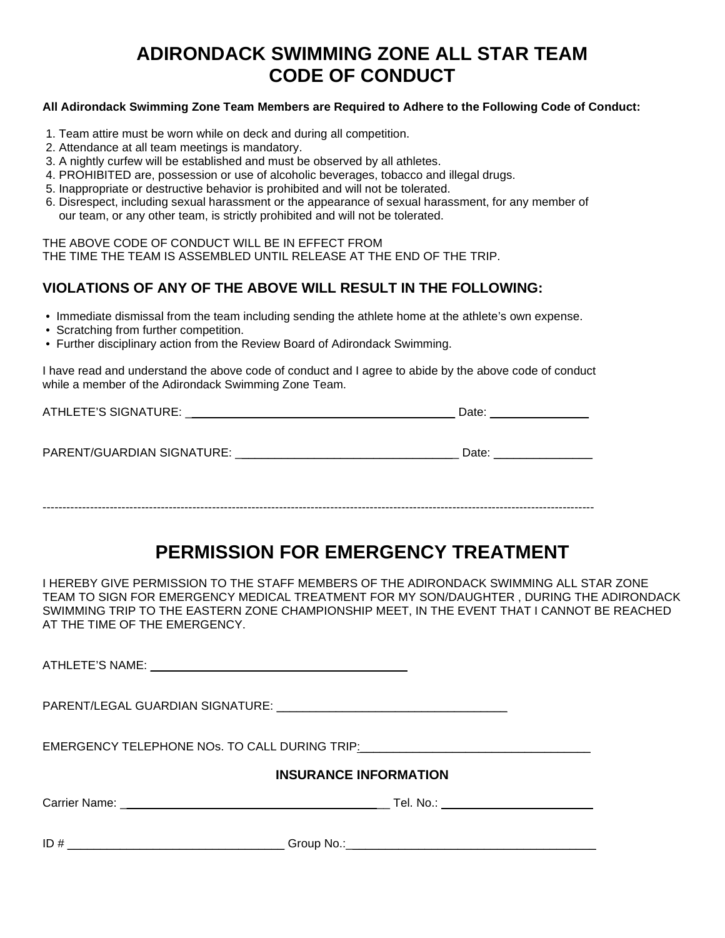### **ADIRONDACK SWIMMING ZONE ALL STAR TEAM CODE OF CONDUCT**

#### **All Adirondack Swimming Zone Team Members are Required to Adhere to the Following Code of Conduct:**

- 1. Team attire must be worn while on deck and during all competition.
- 2. Attendance at all team meetings is mandatory.
- 3. A nightly curfew will be established and must be observed by all athletes.
- 4. PROHIBITED are, possession or use of alcoholic beverages, tobacco and illegal drugs.
- 5. Inappropriate or destructive behavior is prohibited and will not be tolerated.
- 6. Disrespect, including sexual harassment or the appearance of sexual harassment, for any member of our team, or any other team, is strictly prohibited and will not be tolerated.

THE ABOVE CODE OF CONDUCT WILL BE IN EFFECT FROM

THE TIME THE TEAM IS ASSEMBLED UNTIL RELEASE AT THE END OF THE TRIP.

### **VIOLATIONS OF ANY OF THE ABOVE WILL RESULT IN THE FOLLOWING:**

- Immediate dismissal from the team including sending the athlete home at the athlete's own expense.
- Scratching from further competition.
- Further disciplinary action from the Review Board of Adirondack Swimming.

I have read and understand the above code of conduct and I agree to abide by the above code of conduct while a member of the Adirondack Swimming Zone Team.

| ATHLETE'S SIGNATURE:       | Date: |
|----------------------------|-------|
| PARENT/GUARDIAN SIGNATURE: | Date: |
|                            |       |

--------------------------------------------------------------------------------------------------------------------------------------------

### **PERMISSION FOR EMERGENCY TREATMENT**

I HEREBY GIVE PERMISSION TO THE STAFF MEMBERS OF THE ADIRONDACK SWIMMING ALL STAR ZONE TEAM TO SIGN FOR EMERGENCY MEDICAL TREATMENT FOR MY SON/DAUGHTER , DURING THE ADIRONDACK SWIMMING TRIP TO THE EASTERN ZONE CHAMPIONSHIP MEET, IN THE EVENT THAT I CANNOT BE REACHED AT THE TIME OF THE EMERGENCY.

ATHLETE'S NAME: **WE are all that the set of the set of the set of the set of the set of the set of the set of the set of the set of the set of the set of the set of the set of the set of the set of the set of the set of th** PARENT/LEGAL GUARDIAN SIGNATURE: \_\_\_\_\_\_\_\_\_\_\_\_\_\_\_\_\_\_\_\_\_\_\_\_\_\_\_\_\_\_\_\_\_\_\_ EMERGENCY TELEPHONE NOs. TO CALL DURING TRIP: **INSURANCE INFORMATION** Carrier Name: \_\_\_\_\_\_\_\_\_\_\_\_\_\_\_\_\_\_\_\_\_\_\_\_\_\_\_\_\_\_\_\_\_\_\_\_\_\_\_\_\_ Tel. No.: \_\_\_\_\_\_\_\_\_\_\_\_\_\_\_\_\_\_\_\_\_\_\_ ID # \_\_\_\_\_\_\_\_\_\_\_\_\_\_\_\_\_\_\_\_\_\_\_\_\_\_\_\_\_\_\_\_\_ Group No.:\_\_\_\_\_\_\_\_\_\_\_\_\_\_\_\_\_\_\_\_\_\_\_\_\_\_\_\_\_\_\_\_\_\_\_\_\_\_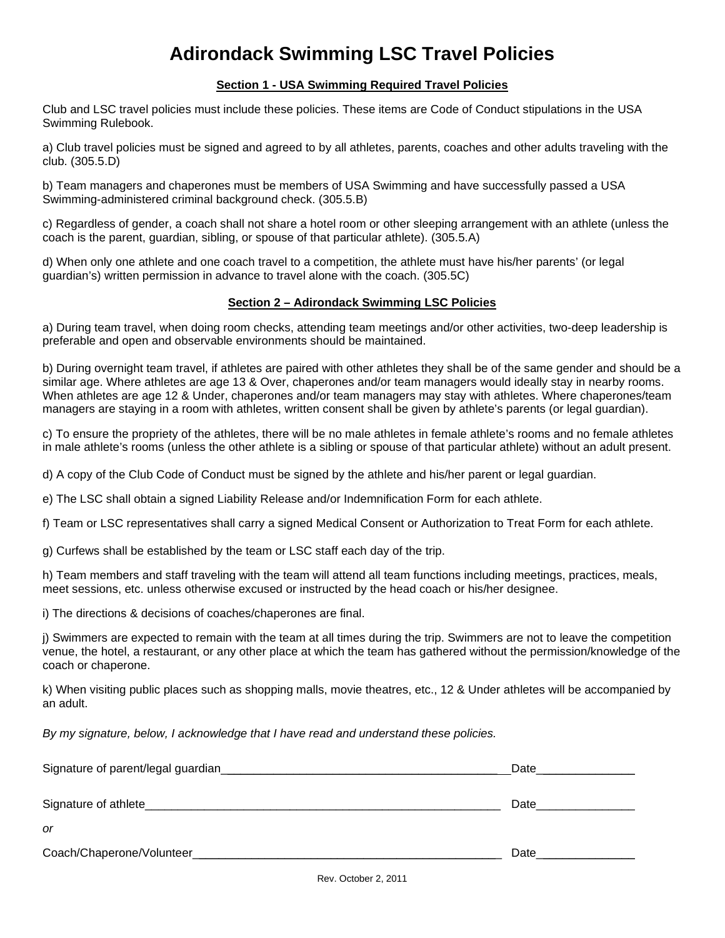## **Adirondack Swimming LSC Travel Policies**

#### **Section 1 - USA Swimming Required Travel Policies**

Club and LSC travel policies must include these policies. These items are Code of Conduct stipulations in the USA Swimming Rulebook.

a) Club travel policies must be signed and agreed to by all athletes, parents, coaches and other adults traveling with the club. (305.5.D)

b) Team managers and chaperones must be members of USA Swimming and have successfully passed a USA Swimming-administered criminal background check. (305.5.B)

c) Regardless of gender, a coach shall not share a hotel room or other sleeping arrangement with an athlete (unless the coach is the parent, guardian, sibling, or spouse of that particular athlete). (305.5.A)

d) When only one athlete and one coach travel to a competition, the athlete must have his/her parents' (or legal guardian's) written permission in advance to travel alone with the coach. (305.5C)

#### **Section 2 – Adirondack Swimming LSC Policies**

a) During team travel, when doing room checks, attending team meetings and/or other activities, two-deep leadership is preferable and open and observable environments should be maintained.

b) During overnight team travel, if athletes are paired with other athletes they shall be of the same gender and should be a similar age. Where athletes are age 13 & Over, chaperones and/or team managers would ideally stay in nearby rooms. When athletes are age 12 & Under, chaperones and/or team managers may stay with athletes. Where chaperones/team managers are staying in a room with athletes, written consent shall be given by athlete's parents (or legal guardian).

c) To ensure the propriety of the athletes, there will be no male athletes in female athlete's rooms and no female athletes in male athlete's rooms (unless the other athlete is a sibling or spouse of that particular athlete) without an adult present.

d) A copy of the Club Code of Conduct must be signed by the athlete and his/her parent or legal guardian.

e) The LSC shall obtain a signed Liability Release and/or Indemnification Form for each athlete.

f) Team or LSC representatives shall carry a signed Medical Consent or Authorization to Treat Form for each athlete.

g) Curfews shall be established by the team or LSC staff each day of the trip.

h) Team members and staff traveling with the team will attend all team functions including meetings, practices, meals, meet sessions, etc. unless otherwise excused or instructed by the head coach or his/her designee.

i) The directions & decisions of coaches/chaperones are final.

j) Swimmers are expected to remain with the team at all times during the trip. Swimmers are not to leave the competition venue, the hotel, a restaurant, or any other place at which the team has gathered without the permission/knowledge of the coach or chaperone.

k) When visiting public places such as shopping malls, movie theatres, etc., 12 & Under athletes will be accompanied by an adult.

*By my signature, below, I acknowledge that I have read and understand these policies.*

| Signature of parent/legal guardian_ | Date<br>the control of the control of |
|-------------------------------------|---------------------------------------|
| Signature of athlete_               | Date                                  |
| <sub>or</sub>                       |                                       |
| Coach/Chaperone/Volunteer_          | Date                                  |